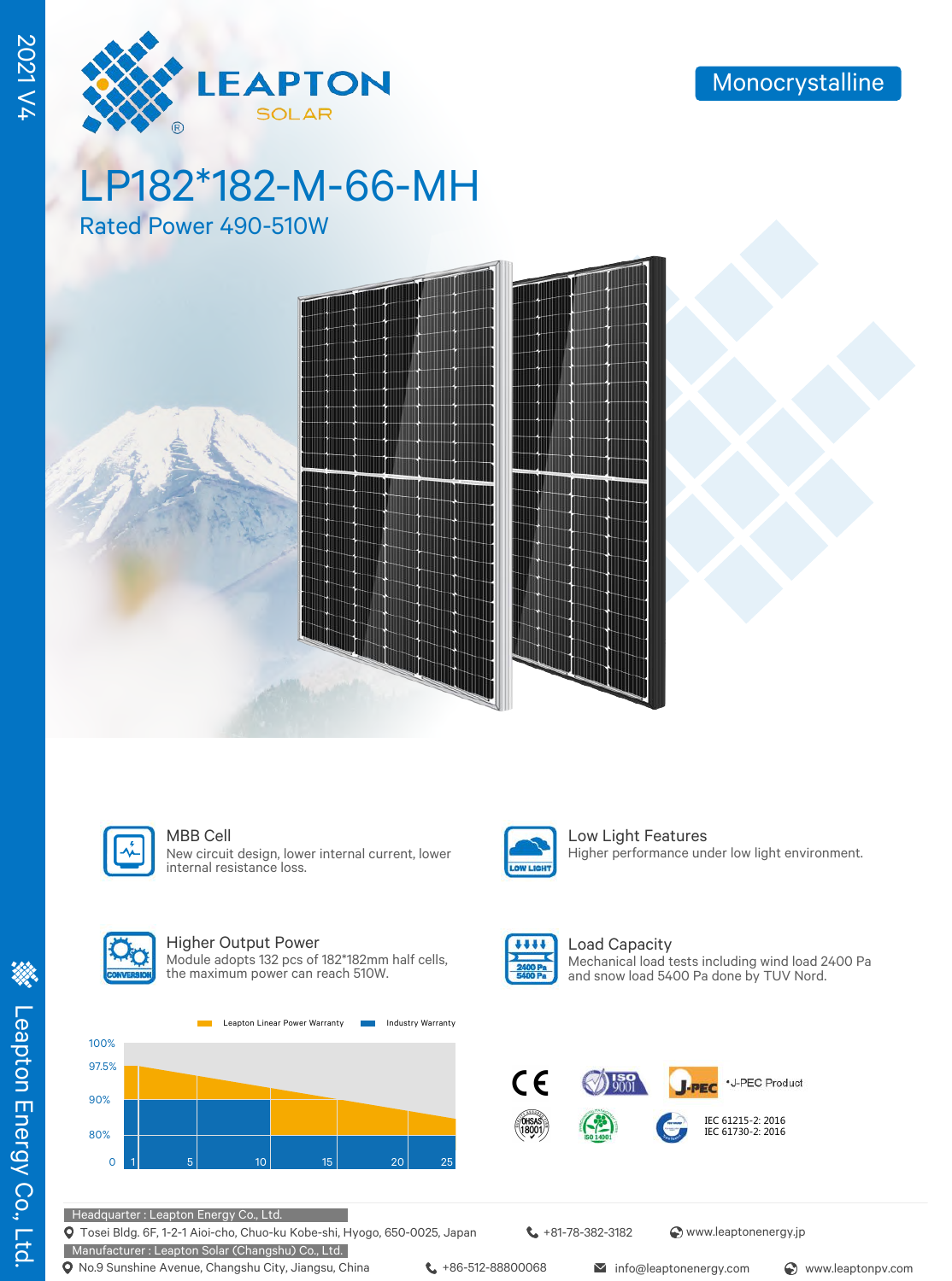

2021 V4

# LP182\*182-M-66-MH

Rated Power 490-510W





New circuit design, lower internal current, lower internal resistance loss.



MBB Cell **Low Light Features** Higher performance under low light environment.



### Higher Output Power

Module adopts 132 pcs of 182\*182mm half cells, the maximum power can reach 510W.





Load Capacity Mechanical load tests including wind load 2400 Pa and snow load 5400 Pa done by TUV Nord.



Headquarter : Leapton Energy Co., Ltd.

Tosei Bldg. 6F, 1-2-1 Aioi-cho, Chuo-ku Kobe-shi, Hyogo, 650-0025, Japan

+81-78-382-3182 www.leaptonenergy.jp

Manufacturer : Leapton Solar (Changshu) Co., Ltd. **Q** No.9 Sunshine Avenue, Changshu City, Jiangsu, China  $\leftarrow$  +86-512-88800068 info@leaptonenergy.com  $\odot$  www.leaptonpv.com